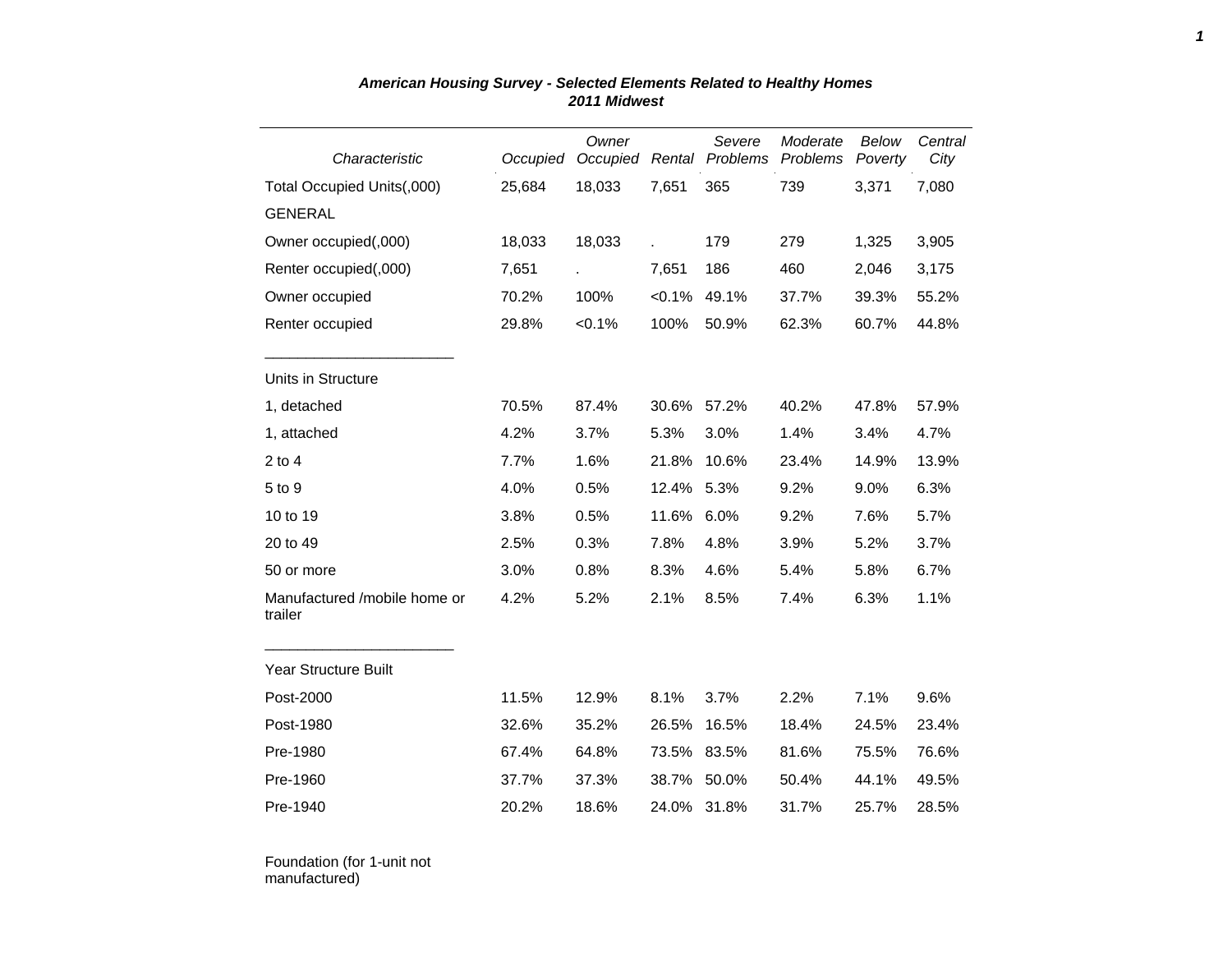| Characteristic                          | Occupied | Owner     |             | Severe<br>Occupied Rental Problems | Moderate<br>Problems | Below<br>Poverty | Central<br>City |
|-----------------------------------------|----------|-----------|-------------|------------------------------------|----------------------|------------------|-----------------|
| Total Occupied Units(,000)              | 25,684   | 18,033    | 7,651       | 365                                | 739                  | 3,371            | 7,080           |
| <b>GENERAL</b>                          |          |           |             |                                    |                      |                  |                 |
| Owner occupied(,000)                    | 18,033   | 18,033    |             | 179                                | 279                  | 1,325            | 3,905           |
| Renter occupied(,000)                   | 7,651    |           | 7,651       | 186                                | 460                  | 2,046            | 3,175           |
| Owner occupied                          | 70.2%    | 100%      | $< 0.1\%$   | 49.1%                              | 37.7%                | 39.3%            | 55.2%           |
| Renter occupied                         | 29.8%    | $< 0.1\%$ | 100%        | 50.9%                              | 62.3%                | 60.7%            | 44.8%           |
| Units in Structure                      |          |           |             |                                    |                      |                  |                 |
| 1, detached                             | 70.5%    | 87.4%     | 30.6%       | 57.2%                              | 40.2%                | 47.8%            | 57.9%           |
| 1, attached                             | 4.2%     | 3.7%      | 5.3%        | 3.0%                               | 1.4%                 | 3.4%             | 4.7%            |
| $2$ to $4$                              | 7.7%     | 1.6%      | 21.8%       | 10.6%                              | 23.4%                | 14.9%            | 13.9%           |
| 5 to 9                                  | 4.0%     | 0.5%      | 12.4%       | 5.3%                               | 9.2%                 | 9.0%             | 6.3%            |
| 10 to 19                                | 3.8%     | 0.5%      | 11.6%       | 6.0%                               | 9.2%                 | 7.6%             | 5.7%            |
| 20 to 49                                | 2.5%     | 0.3%      | 7.8%        | 4.8%                               | 3.9%                 | 5.2%             | 3.7%            |
| 50 or more                              | 3.0%     | 0.8%      | 8.3%        | 4.6%                               | 5.4%                 | 5.8%             | 6.7%            |
| Manufactured /mobile home or<br>trailer | 4.2%     | 5.2%      | 2.1%        | 8.5%                               | 7.4%                 | 6.3%             | 1.1%            |
| <b>Year Structure Built</b>             |          |           |             |                                    |                      |                  |                 |
| Post-2000                               | 11.5%    | 12.9%     | 8.1%        | 3.7%                               | 2.2%                 | 7.1%             | 9.6%            |
| Post-1980                               | 32.6%    | 35.2%     | 26.5%       | 16.5%                              | 18.4%                | 24.5%            | 23.4%           |
| Pre-1980                                | 67.4%    | 64.8%     | 73.5%       | 83.5%                              | 81.6%                | 75.5%            | 76.6%           |
| Pre-1960                                | 37.7%    | 37.3%     | 38.7%       | 50.0%                              | 50.4%                | 44.1%            | 49.5%           |
| Pre-1940                                | 20.2%    | 18.6%     | 24.0% 31.8% |                                    | 31.7%                | 25.7%            | 28.5%           |

## *American Housing Survey - Selected Elements Related to Healthy Homes 2011 Midwest*

Foundation (for 1-unit not manufactured)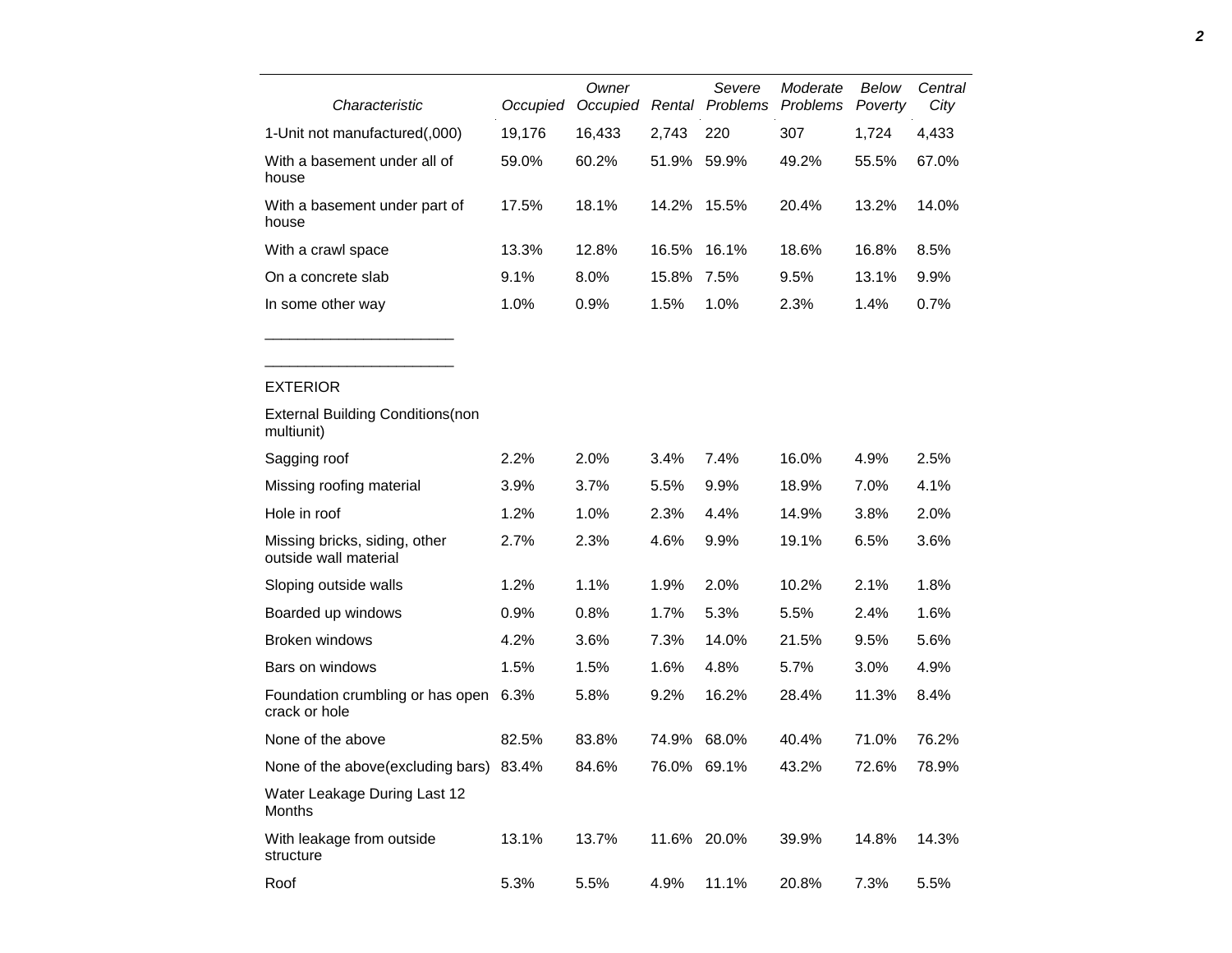| Characteristic                                         | Occupied | Owner<br>Occupied |             | Severe<br>Rental Problems | Moderate<br>Problems | Below<br>Poverty | Central<br>City |
|--------------------------------------------------------|----------|-------------------|-------------|---------------------------|----------------------|------------------|-----------------|
| 1-Unit not manufactured(,000)                          | 19,176   | 16,433            | 2,743       | 220                       | 307                  | 1,724            | 4,433           |
| With a basement under all of<br>house                  | 59.0%    | 60.2%             | 51.9%       | 59.9%                     | 49.2%                | 55.5%            | 67.0%           |
| With a basement under part of<br>house                 | 17.5%    | 18.1%             | 14.2%       | 15.5%                     | 20.4%                | 13.2%            | 14.0%           |
| With a crawl space                                     | 13.3%    | 12.8%             | 16.5%       | 16.1%                     | 18.6%                | 16.8%            | 8.5%            |
| On a concrete slab                                     | 9.1%     | 8.0%              | 15.8%       | 7.5%                      | 9.5%                 | 13.1%            | 9.9%            |
| In some other way                                      | 1.0%     | 0.9%              | 1.5%        | 1.0%                      | 2.3%                 | 1.4%             | 0.7%            |
| <b>EXTERIOR</b>                                        |          |                   |             |                           |                      |                  |                 |
| <b>External Building Conditions (non</b><br>multiunit) |          |                   |             |                           |                      |                  |                 |
| Sagging roof                                           | 2.2%     | 2.0%              | 3.4%        | 7.4%                      | 16.0%                | 4.9%             | 2.5%            |
| Missing roofing material                               | 3.9%     | 3.7%              | 5.5%        | 9.9%                      | 18.9%                | 7.0%             | 4.1%            |
| Hole in roof                                           | 1.2%     | 1.0%              | 2.3%        | 4.4%                      | 14.9%                | 3.8%             | 2.0%            |
| Missing bricks, siding, other<br>outside wall material | 2.7%     | 2.3%              | 4.6%        | 9.9%                      | 19.1%                | 6.5%             | 3.6%            |
| Sloping outside walls                                  | 1.2%     | 1.1%              | 1.9%        | 2.0%                      | 10.2%                | 2.1%             | 1.8%            |
| Boarded up windows                                     | 0.9%     | 0.8%              | 1.7%        | 5.3%                      | 5.5%                 | 2.4%             | 1.6%            |
| Broken windows                                         | 4.2%     | 3.6%              | 7.3%        | 14.0%                     | 21.5%                | 9.5%             | 5.6%            |
| Bars on windows                                        | 1.5%     | 1.5%              | 1.6%        | 4.8%                      | 5.7%                 | 3.0%             | 4.9%            |
| Foundation crumbling or has open<br>crack or hole      | 6.3%     | 5.8%              | 9.2%        | 16.2%                     | 28.4%                | 11.3%            | 8.4%            |
| None of the above                                      | 82.5%    | 83.8%             | 74.9%       | 68.0%                     | 40.4%                | 71.0%            | 76.2%           |
| None of the above (excluding bars)                     | 83.4%    | 84.6%             | 76.0% 69.1% |                           | 43.2%                | 72.6%            | 78.9%           |

| Water Leakage During Last 12<br>Months |       |       |      |             |       |       |         |
|----------------------------------------|-------|-------|------|-------------|-------|-------|---------|
| With leakage from outside<br>structure | 13.1% | 13.7% |      | 11.6% 20.0% | 39.9% | 14.8% | 14.3%   |
| Roof                                   | 5.3%  | 5.5%  | 4.9% | $11.1\%$    | 20.8% | 7.3%  | $5.5\%$ |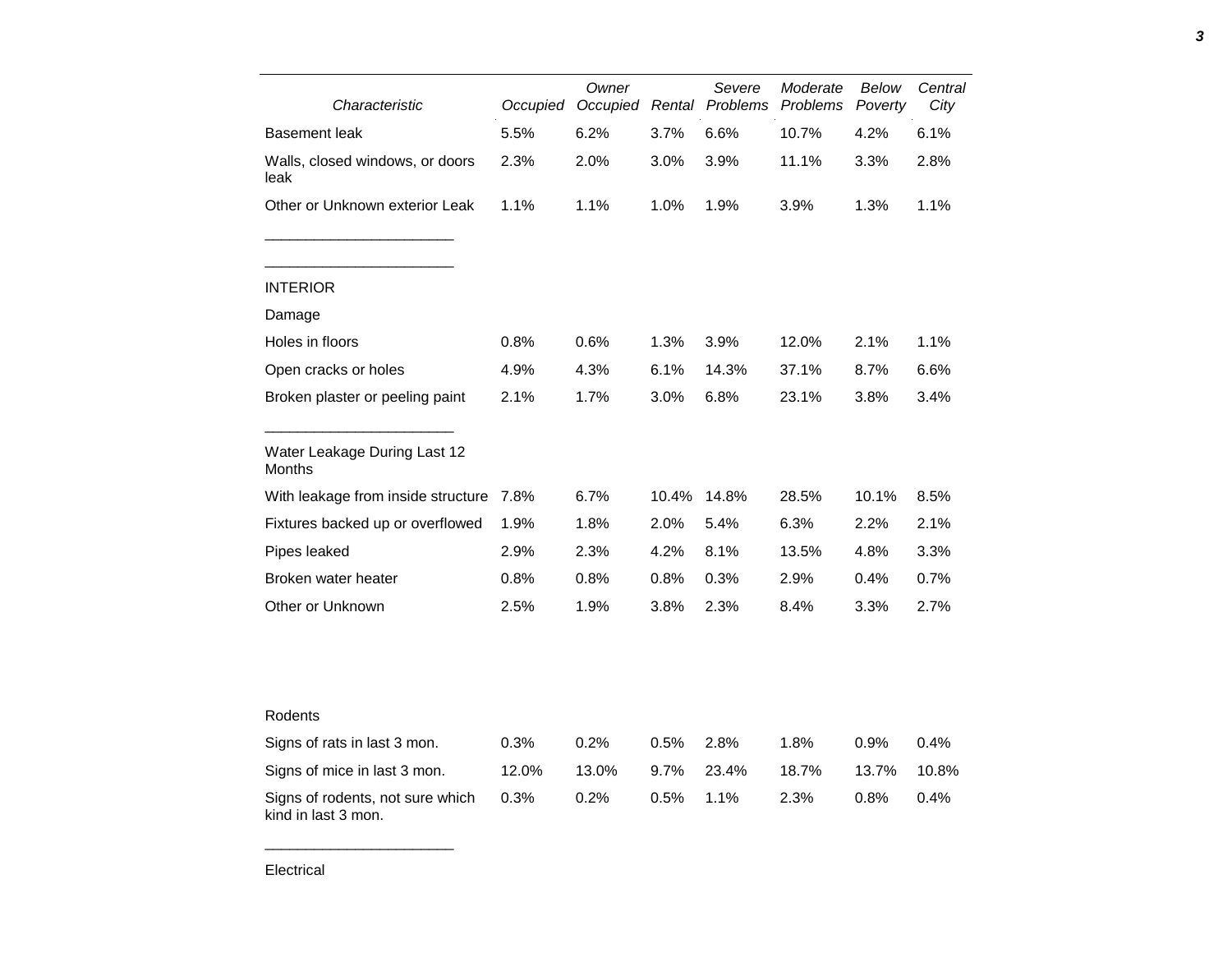| Characteristic                                          | Occupied | Owner<br>Occupied |       | Severe<br>Rental Problems | Moderate<br>Problems | Below<br>Poverty | Central<br>City |
|---------------------------------------------------------|----------|-------------------|-------|---------------------------|----------------------|------------------|-----------------|
| <b>Basement leak</b>                                    | 5.5%     | 6.2%              | 3.7%  | 6.6%                      | 10.7%                | 4.2%             | 6.1%            |
| Walls, closed windows, or doors<br>leak                 | 2.3%     | 2.0%              | 3.0%  | 3.9%                      | 11.1%                | 3.3%             | 2.8%            |
| Other or Unknown exterior Leak                          | 1.1%     | 1.1%              | 1.0%  | 1.9%                      | 3.9%                 | 1.3%             | 1.1%            |
| <b>INTERIOR</b>                                         |          |                   |       |                           |                      |                  |                 |
| Damage                                                  |          |                   |       |                           |                      |                  |                 |
| Holes in floors                                         | 0.8%     | 0.6%              | 1.3%  | 3.9%                      | 12.0%                | 2.1%             | 1.1%            |
| Open cracks or holes                                    | 4.9%     | 4.3%              | 6.1%  | 14.3%                     | 37.1%                | 8.7%             | 6.6%            |
| Broken plaster or peeling paint                         | 2.1%     | 1.7%              | 3.0%  | 6.8%                      | 23.1%                | 3.8%             | 3.4%            |
| Water Leakage During Last 12<br>Months                  |          |                   |       |                           |                      |                  |                 |
| With leakage from inside structure                      | 7.8%     | 6.7%              | 10.4% | 14.8%                     | 28.5%                | 10.1%            | 8.5%            |
| Fixtures backed up or overflowed                        | 1.9%     | 1.8%              | 2.0%  | 5.4%                      | 6.3%                 | 2.2%             | 2.1%            |
| Pipes leaked                                            | 2.9%     | 2.3%              | 4.2%  | 8.1%                      | 13.5%                | 4.8%             | 3.3%            |
| Broken water heater                                     | 0.8%     | 0.8%              | 0.8%  | 0.3%                      | 2.9%                 | 0.4%             | 0.7%            |
| Other or Unknown                                        | 2.5%     | 1.9%              | 3.8%  | 2.3%                      | 8.4%                 | 3.3%             | 2.7%            |
|                                                         |          |                   |       |                           |                      |                  |                 |
| Rodents                                                 |          |                   |       |                           |                      |                  |                 |
| Signs of rats in last 3 mon.                            | 0.3%     | 0.2%              | 0.5%  | 2.8%                      | 1.8%                 | 0.9%             | 0.4%            |
| Signs of mice in last 3 mon.                            | 12.0%    | 13.0%             | 9.7%  | 23.4%                     | 18.7%                | 13.7%            | 10.8%           |
| Signs of rodents, not sure which<br>kind in last 3 mon. | 0.3%     | 0.2%              | 0.5%  | 1.1%                      | 2.3%                 | 0.8%             | 0.4%            |

Electrical

\_\_\_\_\_\_\_\_\_\_\_\_\_\_\_\_\_\_\_\_\_\_\_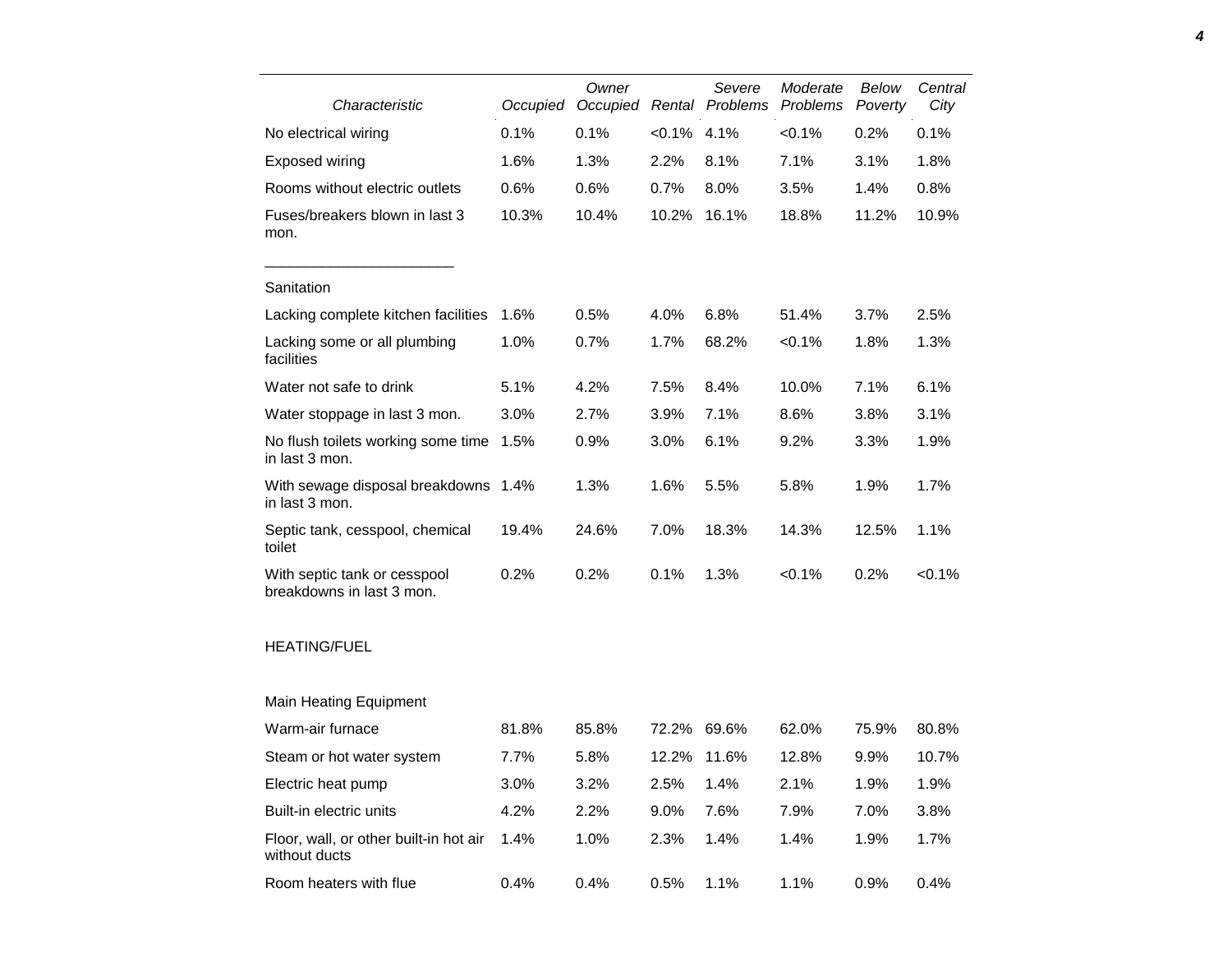| Characteristic                                            | Occupied | Owner<br>Occupied |           | Severe<br>Rental Problems | Moderate<br>Problems | Below<br>Poverty | Central<br>City |
|-----------------------------------------------------------|----------|-------------------|-----------|---------------------------|----------------------|------------------|-----------------|
| No electrical wiring                                      | 0.1%     | 0.1%              | $< 0.1\%$ | 4.1%                      | $< 0.1\%$            | 0.2%             | 0.1%            |
| Exposed wiring                                            | 1.6%     | 1.3%              | 2.2%      | 8.1%                      | 7.1%                 | 3.1%             | 1.8%            |
| Rooms without electric outlets                            | 0.6%     | 0.6%              | 0.7%      | 8.0%                      | 3.5%                 | 1.4%             | 0.8%            |
| Fuses/breakers blown in last 3<br>mon.                    | 10.3%    | 10.4%             | 10.2%     | 16.1%                     | 18.8%                | 11.2%            | 10.9%           |
| Sanitation                                                |          |                   |           |                           |                      |                  |                 |
| Lacking complete kitchen facilities                       | 1.6%     | 0.5%              | 4.0%      | 6.8%                      | 51.4%                | 3.7%             | 2.5%            |
| Lacking some or all plumbing<br>facilities                | 1.0%     | 0.7%              | 1.7%      | 68.2%                     | < 0.1%               | 1.8%             | 1.3%            |
| Water not safe to drink                                   | 5.1%     | 4.2%              | 7.5%      | 8.4%                      | 10.0%                | 7.1%             | 6.1%            |
| Water stoppage in last 3 mon.                             | 3.0%     | 2.7%              | 3.9%      | 7.1%                      | 8.6%                 | 3.8%             | 3.1%            |
| No flush toilets working some time<br>in last 3 mon.      | 1.5%     | 0.9%              | 3.0%      | 6.1%                      | 9.2%                 | 3.3%             | 1.9%            |
| With sewage disposal breakdowns 1.4%<br>in last 3 mon.    |          | 1.3%              | 1.6%      | 5.5%                      | 5.8%                 | 1.9%             | 1.7%            |
| Septic tank, cesspool, chemical<br>toilet                 | 19.4%    | 24.6%             | 7.0%      | 18.3%                     | 14.3%                | 12.5%            | 1.1%            |
| With septic tank or cesspool<br>breakdowns in last 3 mon. | 0.2%     | 0.2%              | 0.1%      | 1.3%                      | $< 0.1\%$            | 0.2%             | < 0.1%          |
| <b>HEATING/FUEL</b>                                       |          |                   |           |                           |                      |                  |                 |
| <b>Main Heating Equipment</b>                             |          |                   |           |                           |                      |                  |                 |
| Warm-air furnace                                          | 81.8%    | 85.8%             | 72.2%     | 69.6%                     | 62.0%                | 75.9%            | 80.8%           |
| Steam or hot water system                                 | 7.7%     | 5.8%              | 12.2%     | 11.6%                     | 12.8%                | 9.9%             | 10.7%           |
| Electric heat pump                                        | 3.0%     | 3.2%              | 2.5%      | 1.4%                      | 2.1%                 | 1.9%             | 1.9%            |
| Built-in electric units                                   | 4.2%     | 2.2%              | 9.0%      | 7.6%                      | 7.9%                 | 7.0%             | 3.8%            |
| Floor, wall, or other built-in hot air<br>without ducts   | 1.4%     | 1.0%              | 2.3%      | 1.4%                      | 1.4%                 | 1.9%             | 1.7%            |
| Room heaters with flue                                    | 0.4%     | 0.4%              | 0.5%      | 1.1%                      | 1.1%                 | 0.9%             | 0.4%            |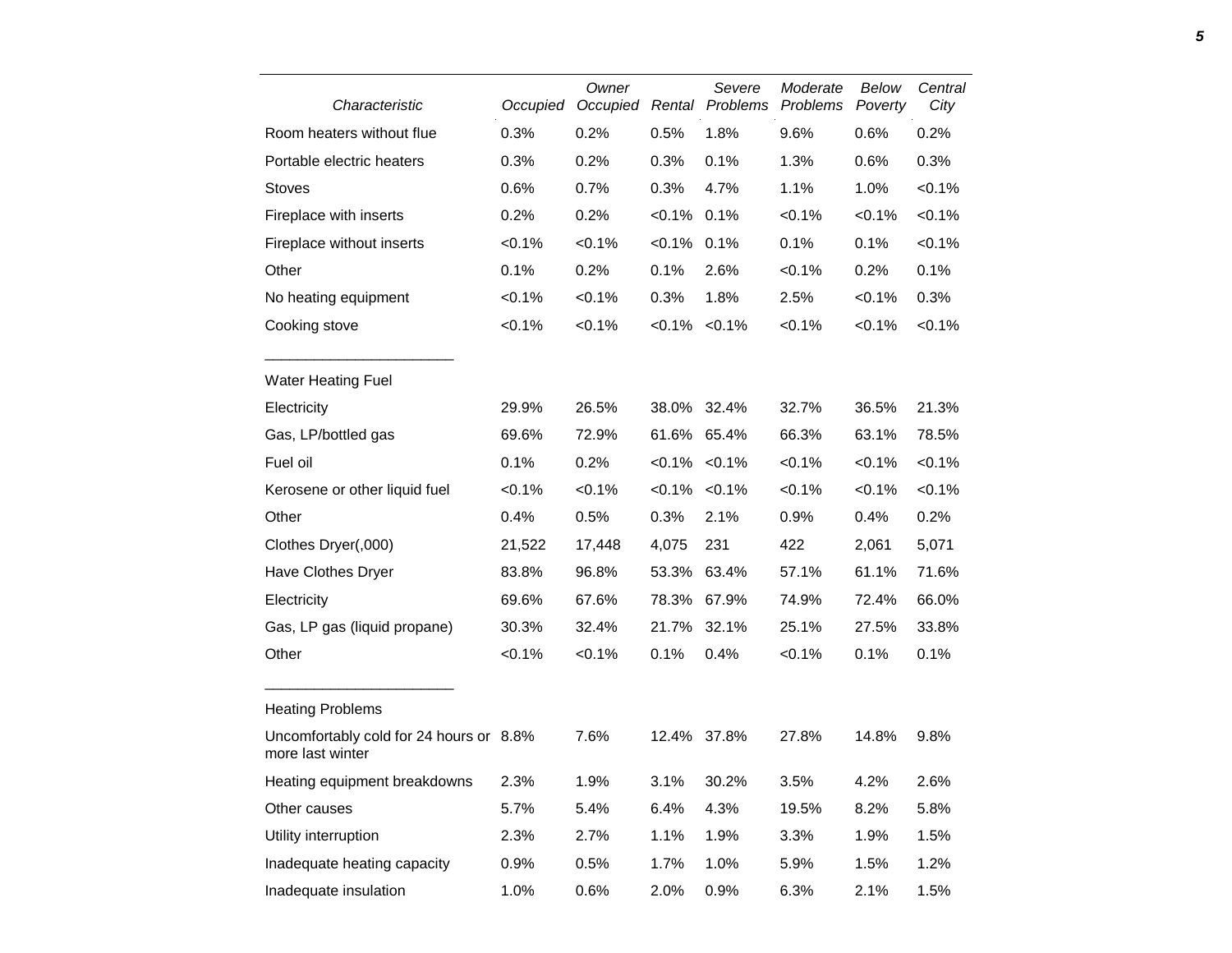| Characteristic                                              | Occupied | Owner<br>Occupied |                     | Severe<br>Rental Problems | Moderate<br>Problems | <b>Below</b><br>Poverty | Central<br>City |
|-------------------------------------------------------------|----------|-------------------|---------------------|---------------------------|----------------------|-------------------------|-----------------|
| Room heaters without flue                                   | 0.3%     | 0.2%              | 0.5%                | 1.8%                      | 9.6%                 | 0.6%                    | 0.2%            |
| Portable electric heaters                                   | 0.3%     | 0.2%              | 0.3%                | 0.1%                      | 1.3%                 | 0.6%                    | 0.3%            |
| <b>Stoves</b>                                               | 0.6%     | 0.7%              | 0.3%                | 4.7%                      | 1.1%                 | 1.0%                    | < 0.1%          |
| Fireplace with inserts                                      | 0.2%     | 0.2%              | $< 0.1\%$ 0.1%      |                           | < 0.1%               | < 0.1%                  | < 0.1%          |
| Fireplace without inserts                                   | < 0.1%   | < 0.1%            | $< 0.1\%$ 0.1%      |                           | 0.1%                 | 0.1%                    | $< 0.1\%$       |
| Other                                                       | 0.1%     | 0.2%              | 0.1%                | 2.6%                      | < 0.1%               | 0.2%                    | 0.1%            |
| No heating equipment                                        | < 0.1%   | $< 0.1\%$         | 0.3%                | 1.8%                      | 2.5%                 | $< 0.1\%$               | 0.3%            |
| Cooking stove                                               | $<0.1\%$ | $<0.1\%$          | $< 0.1\% < 0.1\%$   |                           | < 0.1%               | $< 0.1\%$               | < 0.1%          |
| <b>Water Heating Fuel</b>                                   |          |                   |                     |                           |                      |                         |                 |
| Electricity                                                 | 29.9%    | 26.5%             | 38.0% 32.4%         |                           | 32.7%                | 36.5%                   | 21.3%           |
| Gas, LP/bottled gas                                         | 69.6%    | 72.9%             | 61.6% 65.4%         |                           | 66.3%                | 63.1%                   | 78.5%           |
| Fuel oil                                                    | 0.1%     | 0.2%              | $< 0.1\%$ $< 0.1\%$ |                           | < 0.1%               | $< 0.1\%$               | $< 0.1\%$       |
| Kerosene or other liquid fuel                               | <0.1%    | $< 0.1\%$         | $< 0.1\% < 0.1\%$   |                           | < 0.1%               | $< 0.1\%$               | $< 0.1\%$       |
| Other                                                       | 0.4%     | 0.5%              | 0.3%                | 2.1%                      | 0.9%                 | 0.4%                    | 0.2%            |
| Clothes Dryer(,000)                                         | 21,522   | 17,448            | 4,075               | 231                       | 422                  | 2,061                   | 5,071           |
| Have Clothes Dryer                                          | 83.8%    | 96.8%             | 53.3%               | 63.4%                     | 57.1%                | 61.1%                   | 71.6%           |
| Electricity                                                 | 69.6%    | 67.6%             | 78.3% 67.9%         |                           | 74.9%                | 72.4%                   | 66.0%           |
| Gas, LP gas (liquid propane)                                | 30.3%    | 32.4%             | 21.7%               | 32.1%                     | 25.1%                | 27.5%                   | 33.8%           |
| Other                                                       | <0.1%    | <0.1%             | 0.1%                | 0.4%                      | < 0.1%               | 0.1%                    | 0.1%            |
| <b>Heating Problems</b>                                     |          |                   |                     |                           |                      |                         |                 |
| Uncomfortably cold for 24 hours or 8.8%<br>more last winter |          | 7.6%              | 12.4% 37.8%         |                           | 27.8%                | 14.8%                   | 9.8%            |
| Heating equipment breakdowns                                | 2.3%     | 1.9%              | 3.1%                | 30.2%                     | 3.5%                 | 4.2%                    | 2.6%            |
| Other causes                                                | 5.7%     | 5.4%              | 6.4%                | 4.3%                      | 19.5%                | 8.2%                    | 5.8%            |
| Utility interruption                                        | 2.3%     | 2.7%              | 1.1%                | 1.9%                      | 3.3%                 | 1.9%                    | 1.5%            |
| Inadequate heating capacity                                 | 0.9%     | 0.5%              | 1.7%                | 1.0%                      | 5.9%                 | 1.5%                    | 1.2%            |
| Inadequate insulation                                       | 1.0%     | 0.6%              | 2.0%                | 0.9%                      | 6.3%                 | 2.1%                    | 1.5%            |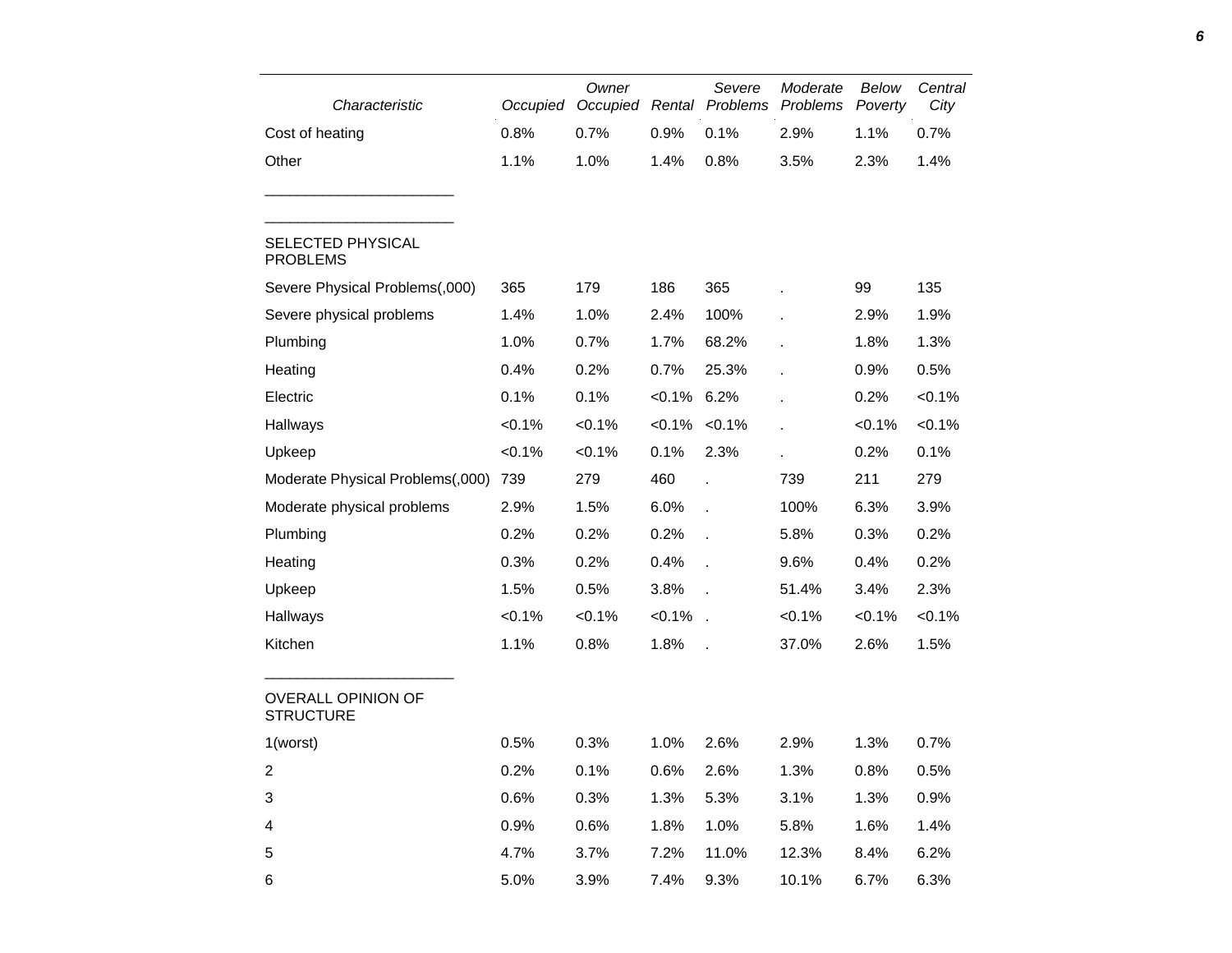| Characteristic                                | Occupied  | Owner<br>Occupied |                | Severe<br>Rental Problems | Moderate<br>Problems | Below<br>Poverty | Central<br>City |
|-----------------------------------------------|-----------|-------------------|----------------|---------------------------|----------------------|------------------|-----------------|
| Cost of heating                               | 0.8%      | 0.7%              | 0.9%           | 0.1%                      | 2.9%                 | 1.1%             | 0.7%            |
| Other                                         | 1.1%      | 1.0%              | 1.4%           | 0.8%                      | 3.5%                 | 2.3%             | 1.4%            |
| SELECTED PHYSICAL<br><b>PROBLEMS</b>          |           |                   |                |                           |                      |                  |                 |
| Severe Physical Problems(,000)                | 365       | 179               | 186            | 365                       |                      | 99               | 135             |
| Severe physical problems                      | 1.4%      | 1.0%              | 2.4%           | 100%                      |                      | 2.9%             | 1.9%            |
| Plumbing                                      | 1.0%      | 0.7%              | 1.7%           | 68.2%                     |                      | 1.8%             | 1.3%            |
| Heating                                       | 0.4%      | 0.2%              | 0.7%           | 25.3%                     |                      | 0.9%             | 0.5%            |
| Electric                                      | 0.1%      | 0.1%              | $< 0.1\%$ 6.2% |                           |                      | 0.2%             | $< 0.1\%$       |
| Hallways                                      | $< 0.1\%$ | $< 0.1\%$         |                | $< 0.1\%$ $< 0.1\%$       |                      | < 0.1%           | $< 0.1\%$       |
| Upkeep                                        | $< 0.1\%$ | $< 0.1\%$         | 0.1%           | 2.3%                      |                      | 0.2%             | 0.1%            |
| Moderate Physical Problems(,000)              | 739       | 279               | 460            |                           | 739                  | 211              | 279             |
| Moderate physical problems                    | 2.9%      | 1.5%              | 6.0%           | $\ddot{\phantom{a}}$      | 100%                 | 6.3%             | 3.9%            |
| Plumbing                                      | 0.2%      | 0.2%              | 0.2%           | t,                        | 5.8%                 | 0.3%             | 0.2%            |
| Heating                                       | 0.3%      | 0.2%              | 0.4%           | $\overline{a}$            | 9.6%                 | 0.4%             | 0.2%            |
| Upkeep                                        | 1.5%      | 0.5%              | 3.8%           |                           | 51.4%                | 3.4%             | 2.3%            |
| Hallways                                      | $< 0.1\%$ | $< 0.1\%$         | $< 0.1\%$ .    |                           | $< 0.1\%$            | $< 0.1\%$        | $< 0.1\%$       |
| Kitchen                                       | 1.1%      | 0.8%              | 1.8%           |                           | 37.0%                | 2.6%             | 1.5%            |
| <b>OVERALL OPINION OF</b><br><b>STRUCTURE</b> |           |                   |                |                           |                      |                  |                 |
| 1(worst)                                      | 0.5%      | 0.3%              | 1.0%           | 2.6%                      | 2.9%                 | 1.3%             | 0.7%            |
| $\boldsymbol{2}$                              | 0.2%      | 0.1%              | 0.6%           | 2.6%                      | 1.3%                 | 0.8%             | 0.5%            |
| $\ensuremath{\mathsf{3}}$                     | 0.6%      | 0.3%              | 1.3%           | 5.3%                      | 3.1%                 | 1.3%             | 0.9%            |
| $\overline{\mathcal{A}}$                      | 0.9%      | 0.6%              | 1.8%           | 1.0%                      | 5.8%                 | 1.6%             | 1.4%            |
| $\mathbf 5$                                   | 4.7%      | 3.7%              | 7.2%           | 11.0%                     | 12.3%                | 8.4%             | 6.2%            |
| 6                                             | 5.0%      | 3.9%              | 7.4%           | 9.3%                      | 10.1%                | 6.7%             | 6.3%            |